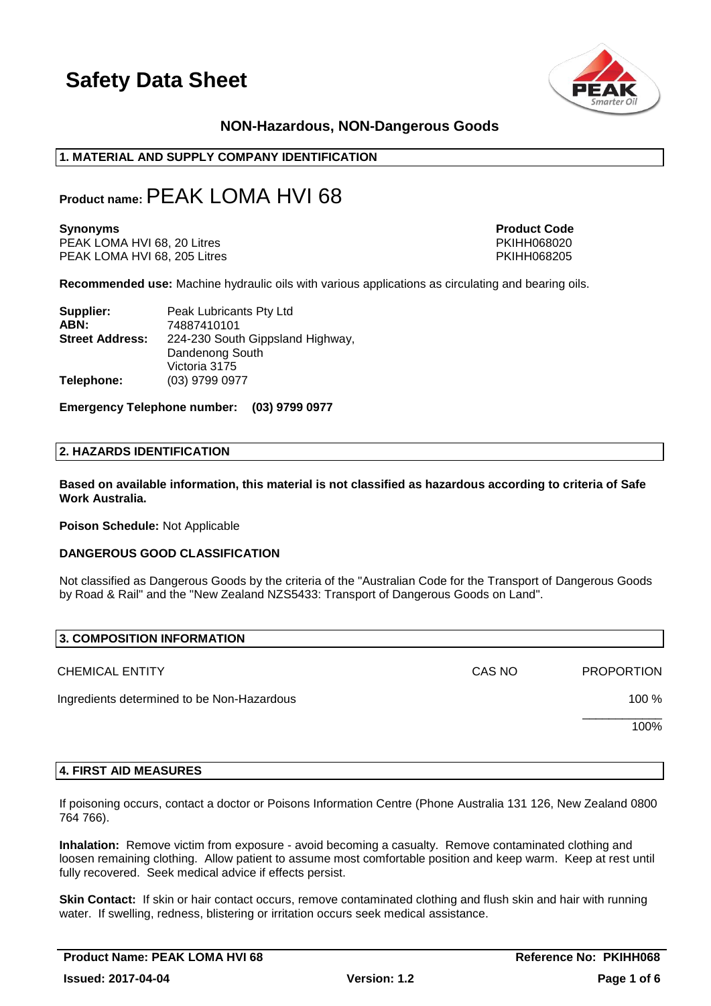

### **NON-Hazardous, NON-Dangerous Goods**

#### **1. MATERIAL AND SUPPLY COMPANY IDENTIFICATION**

### **Product name:**PEAK LOMA HVI 68

PEAK LOMA HVI 68, 20 Litres PHAT AND THE SERVICE SERVICE SERVICE SERVICE SERVICE SERVICE SERVICE SERVICE SERVI<br>PEAK LOMA HVI 68, 205 Litres PHAT AND THE SERVICE SERVICE SERVICE SERVICE SERVICE SERVICE SERVICE SERVICE SERV PEAK LOMA HVI 68, 205 Litres

**Synonyms Product Code** 

**Recommended use:** Machine hydraulic oils with various applications as circulating and bearing oils.

| Supplier:              | Peak Lubricants Pty Ltd          |
|------------------------|----------------------------------|
| ABN:                   | 74887410101                      |
| <b>Street Address:</b> | 224-230 South Gippsland Highway, |
|                        | Dandenong South                  |
|                        | Victoria 3175                    |
| Telephone:             | (03) 9799 0977                   |

**Emergency Telephone number: (03) 9799 0977**

#### **2. HAZARDS IDENTIFICATION**

**Based on available information, this material is not classified as hazardous according to criteria of Safe Work Australia.**

**Poison Schedule:** Not Applicable

#### **DANGEROUS GOOD CLASSIFICATION**

Not classified as Dangerous Goods by the criteria of the "Australian Code for the Transport of Dangerous Goods by Road & Rail" and the "New Zealand NZS5433: Transport of Dangerous Goods on Land".

| 3. COMPOSITION INFORMATION                 |        |                   |
|--------------------------------------------|--------|-------------------|
| <b>CHEMICAL ENTITY</b>                     | CAS NO | <b>PROPORTION</b> |
| Ingredients determined to be Non-Hazardous |        | 100 %             |
|                                            |        | 100%              |
|                                            |        |                   |

#### **4. FIRST AID MEASURES**

If poisoning occurs, contact a doctor or Poisons Information Centre (Phone Australia 131 126, New Zealand 0800 764 766).

**Inhalation:** Remove victim from exposure - avoid becoming a casualty. Remove contaminated clothing and loosen remaining clothing. Allow patient to assume most comfortable position and keep warm. Keep at rest until fully recovered. Seek medical advice if effects persist.

**Skin Contact:** If skin or hair contact occurs, remove contaminated clothing and flush skin and hair with running water. If swelling, redness, blistering or irritation occurs seek medical assistance.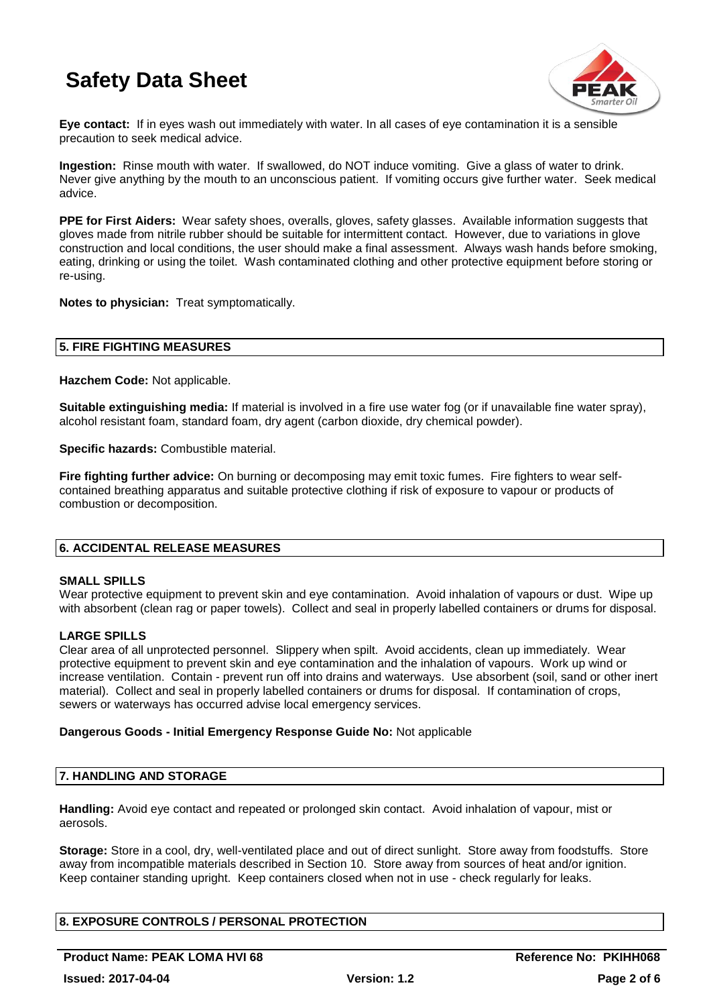

**Eye contact:** If in eyes wash out immediately with water. In all cases of eye contamination it is a sensible precaution to seek medical advice.

**Ingestion:** Rinse mouth with water. If swallowed, do NOT induce vomiting. Give a glass of water to drink. Never give anything by the mouth to an unconscious patient. If vomiting occurs give further water. Seek medical advice.

**PPE for First Aiders:** Wear safety shoes, overalls, gloves, safety glasses. Available information suggests that gloves made from nitrile rubber should be suitable for intermittent contact. However, due to variations in glove construction and local conditions, the user should make a final assessment. Always wash hands before smoking, eating, drinking or using the toilet. Wash contaminated clothing and other protective equipment before storing or re-using.

**Notes to physician:** Treat symptomatically.

#### **5. FIRE FIGHTING MEASURES**

**Hazchem Code:** Not applicable.

**Suitable extinguishing media:** If material is involved in a fire use water fog (or if unavailable fine water spray), alcohol resistant foam, standard foam, dry agent (carbon dioxide, dry chemical powder).

**Specific hazards:** Combustible material.

**Fire fighting further advice:** On burning or decomposing may emit toxic fumes. Fire fighters to wear selfcontained breathing apparatus and suitable protective clothing if risk of exposure to vapour or products of combustion or decomposition.

#### **6. ACCIDENTAL RELEASE MEASURES**

#### **SMALL SPILLS**

Wear protective equipment to prevent skin and eye contamination. Avoid inhalation of vapours or dust. Wipe up with absorbent (clean rag or paper towels). Collect and seal in properly labelled containers or drums for disposal.

#### **LARGE SPILLS**

Clear area of all unprotected personnel. Slippery when spilt. Avoid accidents, clean up immediately. Wear protective equipment to prevent skin and eye contamination and the inhalation of vapours. Work up wind or increase ventilation. Contain - prevent run off into drains and waterways. Use absorbent (soil, sand or other inert material). Collect and seal in properly labelled containers or drums for disposal. If contamination of crops, sewers or waterways has occurred advise local emergency services.

#### **Dangerous Goods - Initial Emergency Response Guide No:** Not applicable

#### **7. HANDLING AND STORAGE**

**Handling:** Avoid eye contact and repeated or prolonged skin contact. Avoid inhalation of vapour, mist or aerosols.

**Storage:** Store in a cool, dry, well-ventilated place and out of direct sunlight. Store away from foodstuffs. Store away from incompatible materials described in Section 10. Store away from sources of heat and/or ignition. Keep container standing upright. Keep containers closed when not in use - check regularly for leaks.

#### **8. EXPOSURE CONTROLS / PERSONAL PROTECTION**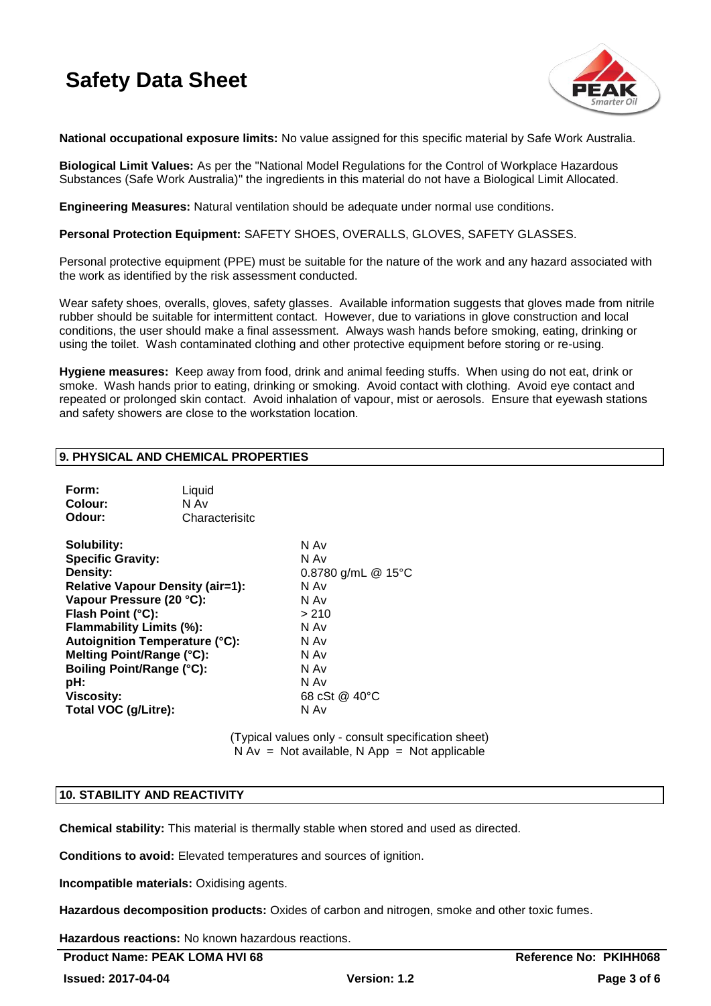

**National occupational exposure limits:** No value assigned for this specific material by Safe Work Australia.

**Biological Limit Values:** As per the "National Model Regulations for the Control of Workplace Hazardous Substances (Safe Work Australia)" the ingredients in this material do not have a Biological Limit Allocated.

**Engineering Measures:** Natural ventilation should be adequate under normal use conditions.

**Personal Protection Equipment:** SAFETY SHOES, OVERALLS, GLOVES, SAFETY GLASSES.

Personal protective equipment (PPE) must be suitable for the nature of the work and any hazard associated with the work as identified by the risk assessment conducted.

Wear safety shoes, overalls, gloves, safety glasses. Available information suggests that gloves made from nitrile rubber should be suitable for intermittent contact. However, due to variations in glove construction and local conditions, the user should make a final assessment. Always wash hands before smoking, eating, drinking or using the toilet. Wash contaminated clothing and other protective equipment before storing or re-using.

**Hygiene measures:** Keep away from food, drink and animal feeding stuffs. When using do not eat, drink or smoke. Wash hands prior to eating, drinking or smoking. Avoid contact with clothing. Avoid eye contact and repeated or prolonged skin contact. Avoid inhalation of vapour, mist or aerosols. Ensure that eyewash stations and safety showers are close to the workstation location.

#### **9. PHYSICAL AND CHEMICAL PROPERTIES**

| Form:<br>Colour:<br>Odour:                                                                                                                                                                                                                                                                                                                | Liquid<br>N Av<br>Characterisitc |                                                                                                                               |
|-------------------------------------------------------------------------------------------------------------------------------------------------------------------------------------------------------------------------------------------------------------------------------------------------------------------------------------------|----------------------------------|-------------------------------------------------------------------------------------------------------------------------------|
| Solubility:<br><b>Specific Gravity:</b><br>Density:<br><b>Relative Vapour Density (air=1):</b><br>Vapour Pressure (20 °C):<br>Flash Point (°C):<br>Flammability Limits (%):<br><b>Autoignition Temperature (°C):</b><br>Melting Point/Range (°C):<br><b>Boiling Point/Range (°C):</b><br>pH:<br><b>Viscosity:</b><br>Total VOC (g/Litre): |                                  | N Av<br>N Av<br>0.8780 g/mL @ 15°C<br>N Av<br>N Av<br>> 210<br>N Av<br>N Av<br>N Av<br>N Av<br>N Av<br>68 cSt @ 40 °C<br>N Av |

(Typical values only - consult specification sheet)  $N Av = Not available$ . N App = Not applicable

#### **10. STABILITY AND REACTIVITY**

**Chemical stability:** This material is thermally stable when stored and used as directed.

**Conditions to avoid:** Elevated temperatures and sources of ignition.

**Incompatible materials:** Oxidising agents.

**Hazardous decomposition products:** Oxides of carbon and nitrogen, smoke and other toxic fumes.

**Hazardous reactions:** No known hazardous reactions.

Product Name: PEAK LOMA HVI 68 **Reference No: PKIHH068** Reference No: PKIHH068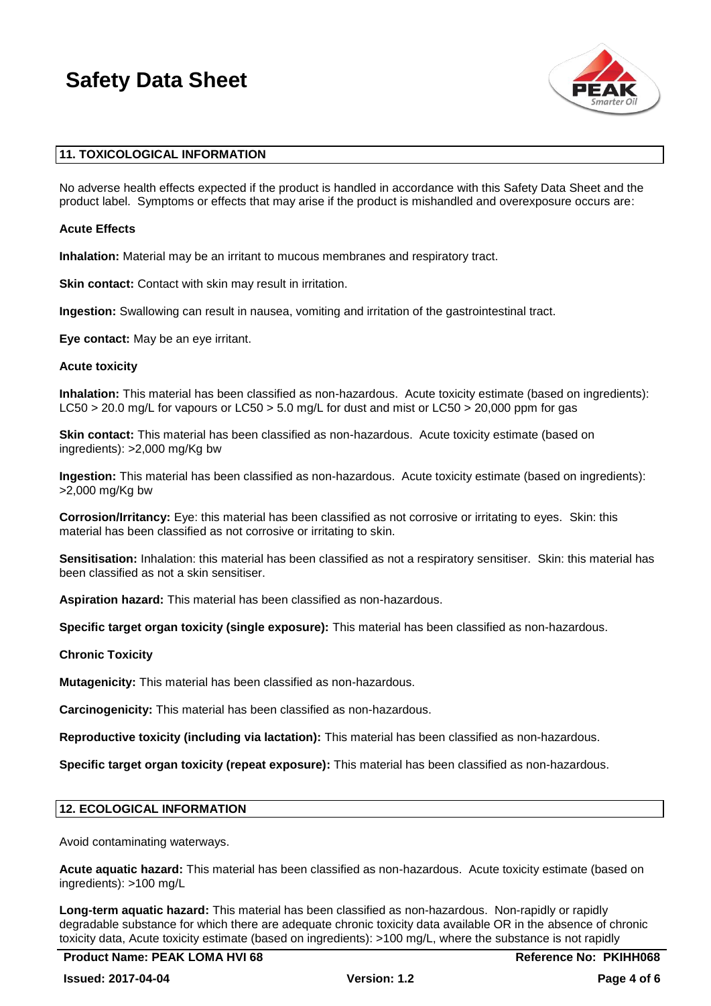

#### **11. TOXICOLOGICAL INFORMATION**

No adverse health effects expected if the product is handled in accordance with this Safety Data Sheet and the product label. Symptoms or effects that may arise if the product is mishandled and overexposure occurs are:

#### **Acute Effects**

**Inhalation:** Material may be an irritant to mucous membranes and respiratory tract.

**Skin contact:** Contact with skin may result in irritation.

**Ingestion:** Swallowing can result in nausea, vomiting and irritation of the gastrointestinal tract.

**Eye contact:** May be an eye irritant.

#### **Acute toxicity**

**Inhalation:** This material has been classified as non-hazardous. Acute toxicity estimate (based on ingredients): LC50 > 20.0 mg/L for vapours or LC50 > 5.0 mg/L for dust and mist or LC50 > 20,000 ppm for gas

**Skin contact:** This material has been classified as non-hazardous. Acute toxicity estimate (based on ingredients): >2,000 mg/Kg bw

**Ingestion:** This material has been classified as non-hazardous. Acute toxicity estimate (based on ingredients): >2,000 mg/Kg bw

**Corrosion/Irritancy:** Eye: this material has been classified as not corrosive or irritating to eyes. Skin: this material has been classified as not corrosive or irritating to skin.

**Sensitisation:** Inhalation: this material has been classified as not a respiratory sensitiser. Skin: this material has been classified as not a skin sensitiser.

**Aspiration hazard:** This material has been classified as non-hazardous.

**Specific target organ toxicity (single exposure):** This material has been classified as non-hazardous.

**Chronic Toxicity**

**Mutagenicity:** This material has been classified as non-hazardous.

**Carcinogenicity:** This material has been classified as non-hazardous.

**Reproductive toxicity (including via lactation):** This material has been classified as non-hazardous.

**Specific target organ toxicity (repeat exposure):** This material has been classified as non-hazardous.

#### **12. ECOLOGICAL INFORMATION**

Avoid contaminating waterways.

**Acute aquatic hazard:** This material has been classified as non-hazardous. Acute toxicity estimate (based on ingredients): >100 mg/L

**Long-term aquatic hazard:** This material has been classified as non-hazardous. Non-rapidly or rapidly degradable substance for which there are adequate chronic toxicity data available OR in the absence of chronic toxicity data, Acute toxicity estimate (based on ingredients): >100 mg/L, where the substance is not rapidly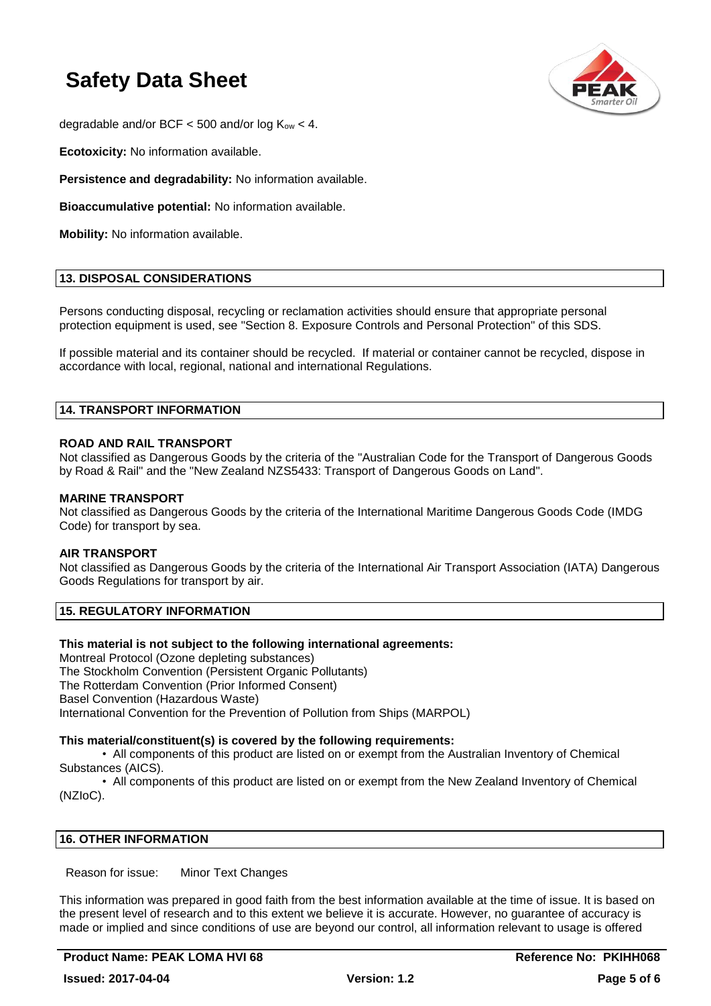

degradable and/or BCF  $<$  500 and/or log  $K_{ow}$   $<$  4.

**Ecotoxicity:** No information available.

**Persistence and degradability:** No information available.

**Bioaccumulative potential:** No information available.

**Mobility:** No information available.

#### **13. DISPOSAL CONSIDERATIONS**

Persons conducting disposal, recycling or reclamation activities should ensure that appropriate personal protection equipment is used, see "Section 8. Exposure Controls and Personal Protection" of this SDS.

If possible material and its container should be recycled. If material or container cannot be recycled, dispose in accordance with local, regional, national and international Regulations.

#### **14. TRANSPORT INFORMATION**

#### **ROAD AND RAIL TRANSPORT**

Not classified as Dangerous Goods by the criteria of the "Australian Code for the Transport of Dangerous Goods by Road & Rail" and the "New Zealand NZS5433: Transport of Dangerous Goods on Land".

#### **MARINE TRANSPORT**

Not classified as Dangerous Goods by the criteria of the International Maritime Dangerous Goods Code (IMDG Code) for transport by sea.

#### **AIR TRANSPORT**

Not classified as Dangerous Goods by the criteria of the International Air Transport Association (IATA) Dangerous Goods Regulations for transport by air.

#### **15. REGULATORY INFORMATION**

#### **This material is not subject to the following international agreements:**

Montreal Protocol (Ozone depleting substances) The Stockholm Convention (Persistent Organic Pollutants) The Rotterdam Convention (Prior Informed Consent) Basel Convention (Hazardous Waste) International Convention for the Prevention of Pollution from Ships (MARPOL)

#### **This material/constituent(s) is covered by the following requirements:**

• All components of this product are listed on or exempt from the Australian Inventory of Chemical Substances (AICS).

• All components of this product are listed on or exempt from the New Zealand Inventory of Chemical (NZIoC).

#### **16. OTHER INFORMATION**

Reason for issue: Minor Text Changes

This information was prepared in good faith from the best information available at the time of issue. It is based on the present level of research and to this extent we believe it is accurate. However, no guarantee of accuracy is made or implied and since conditions of use are beyond our control, all information relevant to usage is offered